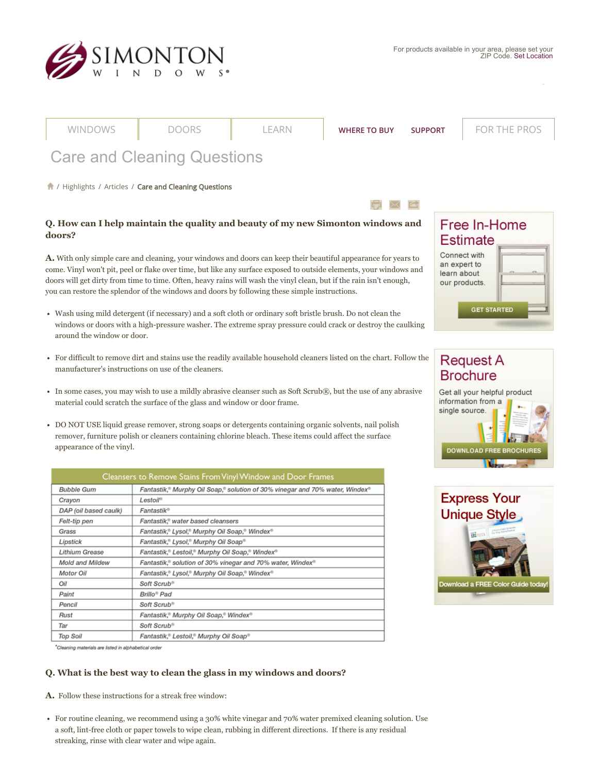

|                                                                                                                                                                                                                                                                                                                                                                                                                                                                     | WINDOWS                                                                                                                                                                                                                                                                          | <b>DOORS</b>                                                                       | LEARN | <b>WHERE TO BUY</b> | <b>SUPPORT</b> | <b>FOR THE PROS</b>                                                 |  |
|---------------------------------------------------------------------------------------------------------------------------------------------------------------------------------------------------------------------------------------------------------------------------------------------------------------------------------------------------------------------------------------------------------------------------------------------------------------------|----------------------------------------------------------------------------------------------------------------------------------------------------------------------------------------------------------------------------------------------------------------------------------|------------------------------------------------------------------------------------|-------|---------------------|----------------|---------------------------------------------------------------------|--|
|                                                                                                                                                                                                                                                                                                                                                                                                                                                                     |                                                                                                                                                                                                                                                                                  | <b>Care and Cleaning Questions</b>                                                 |       |                     |                |                                                                     |  |
|                                                                                                                                                                                                                                                                                                                                                                                                                                                                     |                                                                                                                                                                                                                                                                                  | 1 / Highlights / Articles / Care and Cleaning Questions                            |       |                     |                |                                                                     |  |
|                                                                                                                                                                                                                                                                                                                                                                                                                                                                     |                                                                                                                                                                                                                                                                                  |                                                                                    |       |                     |                |                                                                     |  |
| Q. How can I help maintain the quality and beauty of my new Simonton windows and<br>doors?                                                                                                                                                                                                                                                                                                                                                                          |                                                                                                                                                                                                                                                                                  |                                                                                    |       |                     |                | Free In-Home<br><b>Estimate</b>                                     |  |
| <b>A.</b> With only simple care and cleaning, your windows and doors can keep their beautiful appearance for years to<br>come. Vinyl won't pit, peel or flake over time, but like any surface exposed to outside elements, your windows and<br>doors will get dirty from time to time. Often, heavy rains will wash the vinyl clean, but if the rain isn't enough,<br>you can restore the splendor of the windows and doors by following these simple instructions. |                                                                                                                                                                                                                                                                                  |                                                                                    |       |                     |                | Connect with<br>an expert to<br>learn about<br>our products.        |  |
|                                                                                                                                                                                                                                                                                                                                                                                                                                                                     | <b>GET STARTED</b><br>• Wash using mild detergent (if necessary) and a soft cloth or ordinary soft bristle brush. Do not clean the<br>windows or doors with a high-pressure washer. The extreme spray pressure could crack or destroy the caulking<br>around the window or door. |                                                                                    |       |                     |                |                                                                     |  |
| • For difficult to remove dirt and stains use the readily available household cleaners listed on the chart. Follow the<br>manufacturer's instructions on use of the cleaners.                                                                                                                                                                                                                                                                                       |                                                                                                                                                                                                                                                                                  |                                                                                    |       |                     |                | <b>Request A</b><br><b>Brochure</b>                                 |  |
| • In some cases, you may wish to use a mildly abrasive cleanser such as Soft Scrub®, but the use of any abrasive<br>material could scratch the surface of the glass and window or door frame.                                                                                                                                                                                                                                                                       |                                                                                                                                                                                                                                                                                  |                                                                                    |       |                     |                | Get all your helpful product<br>information from a<br>single source |  |
| • DO NOT USE liquid grease remover, strong soaps or detergents containing organic solvents, nail polish<br>remover, furniture polish or cleaners containing chlorine bleach. These items could affect the surface<br>appearance of the vinyl.                                                                                                                                                                                                                       |                                                                                                                                                                                                                                                                                  |                                                                                    |       |                     |                | <b>DOWNLOAD FREE BROCHURES</b>                                      |  |
|                                                                                                                                                                                                                                                                                                                                                                                                                                                                     |                                                                                                                                                                                                                                                                                  | Cleansers to Remove Stains From Vinyl Window and Door Frames                       |       |                     |                |                                                                     |  |
|                                                                                                                                                                                                                                                                                                                                                                                                                                                                     | <b>Bubble Gum</b>                                                                                                                                                                                                                                                                | Fantastik,® Murphy Oil Soap,® solution of 30% vinegar and 70% water, Windex®       |       |                     |                |                                                                     |  |
|                                                                                                                                                                                                                                                                                                                                                                                                                                                                     | Crayon                                                                                                                                                                                                                                                                           | Lestoil®                                                                           |       |                     |                | <b>Express Your</b>                                                 |  |
|                                                                                                                                                                                                                                                                                                                                                                                                                                                                     | DAP (oil based caulk)                                                                                                                                                                                                                                                            | Fantastik®                                                                         |       |                     |                | <b>Unique Style</b>                                                 |  |
|                                                                                                                                                                                                                                                                                                                                                                                                                                                                     | Felt-tip pen<br>Grass                                                                                                                                                                                                                                                            | Fantastik,® water based cleansers<br>Fantastik,® Lysol,® Murphy Oil Soap,® Windex® |       |                     |                |                                                                     |  |
|                                                                                                                                                                                                                                                                                                                                                                                                                                                                     | Lipstick                                                                                                                                                                                                                                                                         | Fantastik,® Lysol,® Murphy Oil Soap®                                               |       |                     |                |                                                                     |  |
|                                                                                                                                                                                                                                                                                                                                                                                                                                                                     | <b>Lithium Grease</b>                                                                                                                                                                                                                                                            | Fantastik,® Lestoil,® Murphy Oil Soap,® Windex®                                    |       |                     |                |                                                                     |  |
|                                                                                                                                                                                                                                                                                                                                                                                                                                                                     | Mold and Mildew                                                                                                                                                                                                                                                                  | Fantastik, <sup>®</sup> solution of 30% vinegar and 70% water, Windex®             |       |                     |                |                                                                     |  |
|                                                                                                                                                                                                                                                                                                                                                                                                                                                                     | <b>Motor Oil</b>                                                                                                                                                                                                                                                                 | Fantastik,® Lysol,® Murphy Oil Soap,® Windex®                                      |       |                     |                |                                                                     |  |

**BA** *<u>ANGLE</u>* Download a FREE Color Guide today!

\*Cleaning materials are listed in alphabetical order

Oil

Paint

Pencil

Rust

**Top Soil** 

Tar

# **Q. What is the best way to clean the glass in my windows and doors?**

Fantastik,® Murphy Oil Soap,® Windex®

Fantastik,® Lestoil,® Murphy Oil Soap®

**A.** Follow these instructions for a streak free window:

Soft Scrub®

Brillo<sup>®</sup> Pad

Soft Scrub®

Soft Scrub®

For routine cleaning, we recommend using a 30% white vinegar and 70% water premixed cleaning solution. Use a soft, lint-free cloth or paper towels to wipe clean, rubbing in different directions. If there is any residual streaking, rinse with clear water and wipe again.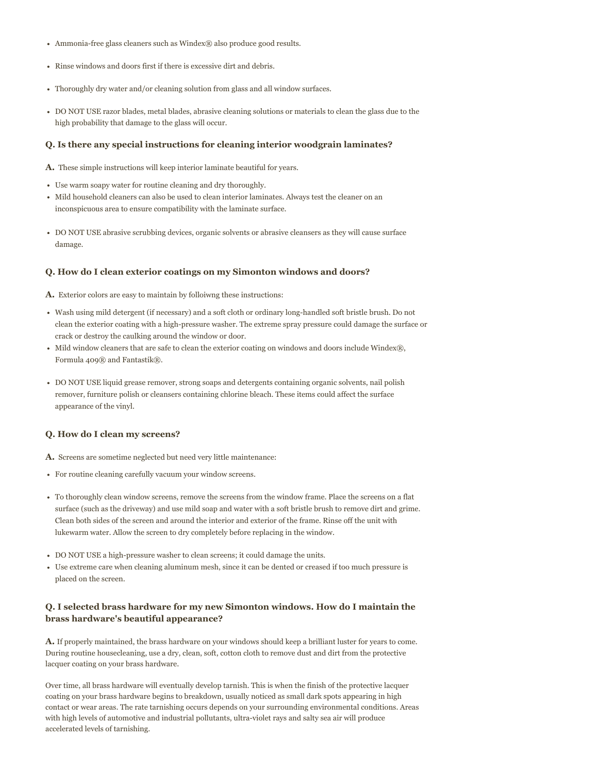- Ammonia-free glass cleaners such as Windex® also produce good results.
- Rinse windows and doors first if there is excessive dirt and debris.
- Thoroughly dry water and/or cleaning solution from glass and all window surfaces.
- DO NOT USE razor blades, metal blades, abrasive cleaning solutions or materials to clean the glass due to the high probability that damage to the glass will occur.

# **Q. Is there any special instructions for cleaning interior woodgrain laminates?**

**A.** These simple instructions will keep interior laminate beautiful for years.

- Use warm soapy water for routine cleaning and dry thoroughly.
- Mild household cleaners can also be used to clean interior laminates. Always test the cleaner on an inconspicuous area to ensure compatibility with the laminate surface.
- DO NOT USE abrasive scrubbing devices, organic solvents or abrasive cleansers as they will cause surface damage.

# **Q. How do I clean exterior coatings on my Simonton windows and doors?**

**A.** Exterior colors are easy to maintain by folloiwng these instructions:

- Wash using mild detergent (if necessary) and a soft cloth or ordinary long-handled soft bristle brush. Do not clean the exterior coating with a high-pressure washer. The extreme spray pressure could damage the surface or crack or destroy the caulking around the window or door.
- Mild window cleaners that are safe to clean the exterior coating on windows and doors include Windex®, Formula 409® and Fantastik®.
- DO NOT USE liquid grease remover, strong soaps and detergents containing organic solvents, nail polish remover, furniture polish or cleansers containing chlorine bleach. These items could affect the surface appearance of the vinyl.

# **Q. How do I clean my screens?**

**A.** Screens are sometime neglected but need very little maintenance:

- For routine cleaning carefully vacuum your window screens.
- To thoroughly clean window screens, remove the screens from the window frame. Place the screens on a flat surface (such as the driveway) and use mild soap and water with a soft bristle brush to remove dirt and grime. Clean both sides of the screen and around the interior and exterior of the frame. Rinse off the unit with lukewarm water. Allow the screen to dry completely before replacing in the window.
- DO NOT USE a high-pressure washer to clean screens; it could damage the units.
- Use extreme care when cleaning aluminum mesh, since it can be dented or creased if too much pressure is placed on the screen.

# **Q. I selected brass hardware for my new Simonton windows. How do I maintain the brass hardware's beautiful appearance?**

**A.** If properly maintained, the brass hardware on your windows should keep a brilliant luster for years to come. During routine housecleaning, use a dry, clean, soft, cotton cloth to remove dust and dirt from the protective lacquer coating on your brass hardware.

Over time, all brass hardware will eventually develop tarnish. This is when the finish of the protective lacquer coating on your brass hardware begins to breakdown, usually noticed as small dark spots appearing in high contact or wear areas. The rate tarnishing occurs depends on your surrounding environmental conditions. Areas with high levels of automotive and industrial pollutants, ultra-violet rays and salty sea air will produce accelerated levels of tarnishing.